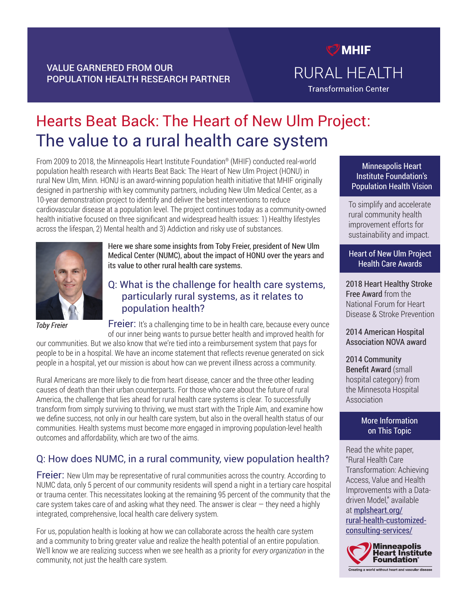## VALUE GARNERED FROM OUR POPULATION HEALTH RESEARCH PARTNER

# Hearts Beat Back: The Heart of New Ulm Project: The value to a rural health care system

From 2009 to 2018, the Minneapolis Heart Institute Foundation® (MHIF) conducted real-world population health research with Hearts Beat Back: The Heart of New Ulm Project (HONU) in rural New Ulm, Minn. HONU is an award-winning population health initiative that MHIF originally designed in partnership with key community partners, including New Ulm Medical Center, as a 10-year demonstration project to identify and deliver the best interventions to reduce cardiovascular disease at a population level. The project continues today as a community-owned health initiative focused on three significant and widespread health issues: 1) Healthy lifestyles across the lifespan, 2) Mental health and 3) Addiction and risky use of substances.



*Toby Freier*

Here we share some insights from Toby Freier, president of New Ulm Medical Center (NUMC), about the impact of HONU over the years and its value to other rural health care systems.

## Q: What is the challenge for health care systems, particularly rural systems, as it relates to population health?

Freier: It's a challenging time to be in health care, because every ounce of our inner being wants to pursue better health and improved health for

our communities. But we also know that we're tied into a reimbursement system that pays for people to be in a hospital. We have an income statement that reflects revenue generated on sick people in a hospital, yet our mission is about how can we prevent illness across a community.

Rural Americans are more likely to die from heart disease, cancer and the three other leading causes of death than their urban counterparts. For those who care about the future of rural America, the challenge that lies ahead for rural health care systems is clear. To successfully transform from simply surviving to thriving, we must start with the Triple Aim, and examine how we define success, not only in our health care system, but also in the overall health status of our communities. Health systems must become more engaged in improving population-level health outcomes and affordability, which are two of the aims.

# Q: How does NUMC, in a rural community, view population health?

**Freier:** New Ulm may be representative of rural communities across the country. According to NUMC data, only 5 percent of our community residents will spend a night in a tertiary care hospital or trauma center. This necessitates looking at the remaining 95 percent of the community that the care system takes care of and asking what they need. The answer is clear  $-$  they need a highly integrated, comprehensive, local health care delivery system.

For us, population health is looking at how we can collaborate across the health care system and a community to bring greater value and realize the health potential of an entire population. We'll know we are realizing success when we see health as a priority for *every organization* in the community, not just the health care system.

Minneapolis Heart Institute Foundation's Population Health Vision

 $<sup>7</sup>$  MHIF</sup>

RURAL HEALTH

**Transformation Center** 

To simplify and accelerate rural community health improvement efforts for sustainability and impact.

#### Heart of New Ulm Project Health Care Awards

2018 Heart Healthy Stroke Free Award from the National Forum for Heart Disease & Stroke Prevention

2014 American Hospital Association NOVA award

2014 Community Benefit Award (small hospital category) from the Minnesota Hospital Association

#### More Information on This Topic

Read the white paper, "Rural Health Care Transformation: Achieving Access, Value and Health Improvements with a Datadriven Model," available at [mplsheart.org/](http://mplsheart.org/rural-health-customized-consulting-services/) [rural-health-customized-](http://mplsheart.org/rural-health-customized-consulting-services/)

[consulting-services/](http://mplsheart.org/rural-health-customized-consulting-services/)